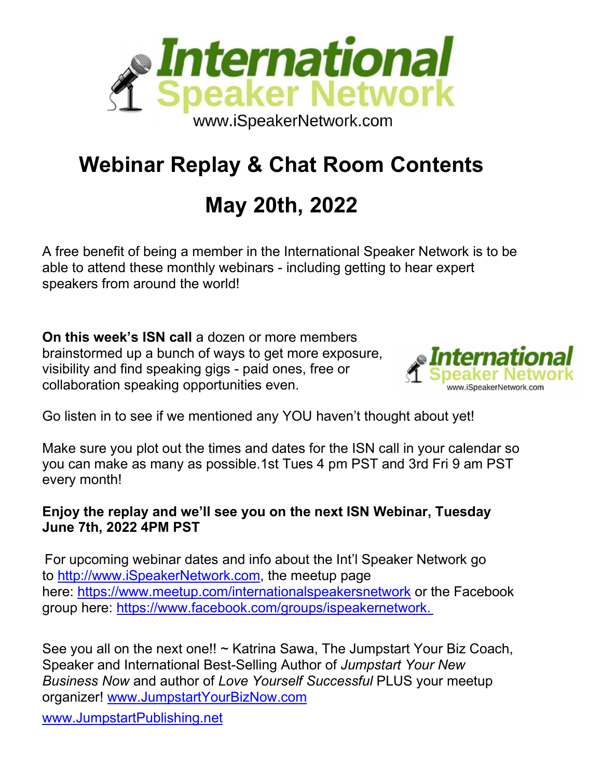

### **Webinar Replay & Chat Room Contents**

## **May 20th, 2022**

A free benefit of being a member in the International Speaker Network is to be able to attend these monthly webinars - including getting to hear expert speakers from around the world!

**On this week's ISN call** a dozen or more members brainstormed up a bunch of ways to get more exposure, visibility and find speaking gigs - paid ones, free or collaboration speaking opportunities even.



Go listen in to see if we mentioned any YOU haven't thought about yet!

Make sure you plot out the times and dates for the ISN call in your calendar so you can make as many as possible.1st Tues 4 pm PST and 3rd Fri 9 am PST every month!

#### **Enjoy the replay and we'll see you on the next ISN Webinar, Tuesday June 7th, 2022 4PM PST**

For upcoming webinar dates and info about the Int'l Speaker Network go to [http://www.iSpeakerNetwork.com,](http://www.ispeakernetwork.com/) the meetup page here: [https://www.meetup.com/internationalspeakersnetwork](https://www.meetup.com/internationalspeakersnetwork/) or the Facebook group here: [https://www.facebook.com/groups/ispeakernetwork.](https://www.facebook.com/groups/ispeakernetwork)

See you all on the next one!! ~ Katrina Sawa, The Jumpstart Your Biz Coach, Speaker and International Best-Selling Author of *Jumpstart Your New Business Now* and author of *Love Yourself Successful* PLUS your meetup organizer! [www.JumpstartYourBizNow.com](http://www.jumpstartyourbiznow.com/) [www.JumpstartPublishing.net](http://www.jumpstartpublishing.net/)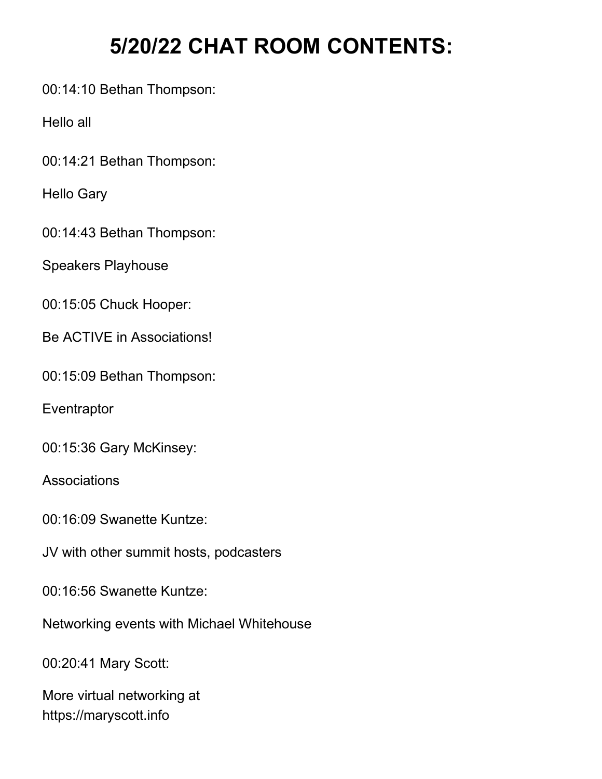### **5/20/22 CHAT ROOM CONTENTS:**

00:14:10 Bethan Thompson:

Hello all

00:14:21 Bethan Thompson:

Hello Gary

00:14:43 Bethan Thompson:

Speakers Playhouse

00:15:05 Chuck Hooper:

Be ACTIVE in Associations!

00:15:09 Bethan Thompson:

**Eventraptor** 

00:15:36 Gary McKinsey:

**Associations** 

00:16:09 Swanette Kuntze:

JV with other summit hosts, podcasters

00:16:56 Swanette Kuntze:

Networking events with Michael Whitehouse

00:20:41 Mary Scott:

More virtual networking at https://maryscott.info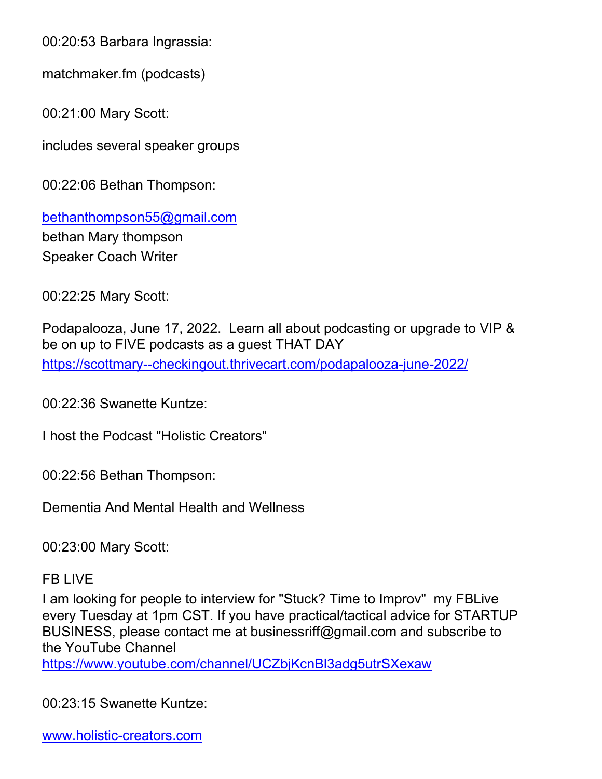00:20:53 Barbara Ingrassia:

matchmaker.fm (podcasts)

00:21:00 Mary Scott:

includes several speaker groups

00:22:06 Bethan Thompson:

[bethanthompson55@gmail.com](mailto:bethanthompson55@gmail.com) bethan Mary thompson Speaker Coach Writer

00:22:25 Mary Scott:

Podapalooza, June 17, 2022. Learn all about podcasting or upgrade to VIP & be on up to FIVE podcasts as a guest THAT DAY <https://scottmary--checkingout.thrivecart.com/podapalooza-june-2022/>

00:22:36 Swanette Kuntze:

I host the Podcast "Holistic Creators"

00:22:56 Bethan Thompson:

Dementia And Mental Health and Wellness

00:23:00 Mary Scott:

#### FB LIVE

I am looking for people to interview for "Stuck? Time to Improv" my FBLive every Tuesday at 1pm CST. If you have practical/tactical advice for STARTUP BUSINESS, please contact me at businessriff@gmail.com and subscribe to the YouTube Channel

<https://www.youtube.com/channel/UCZbjKcnBl3adg5utrSXexaw>

00:23:15 Swanette Kuntze:

[www.holistic-creators.com](http://www.holistic-creators.com/)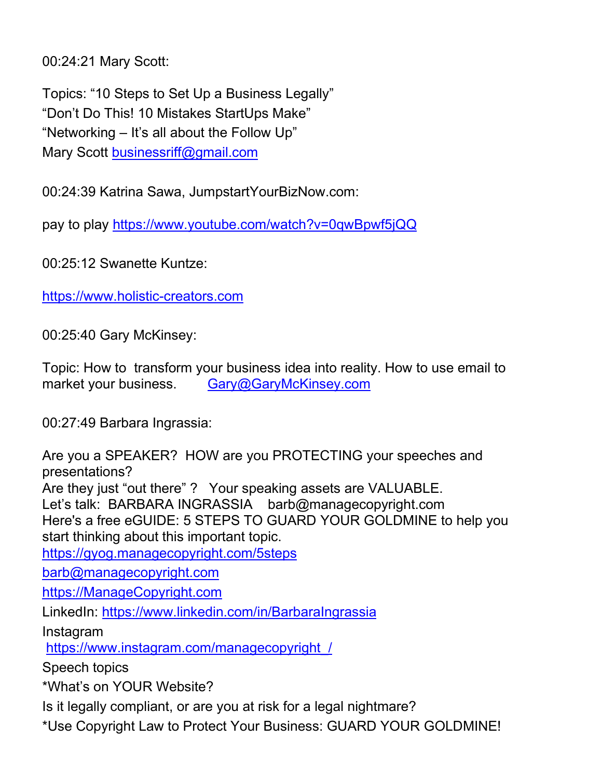00:24:21 Mary Scott:

Topics: "10 Steps to Set Up a Business Legally" "Don't Do This! 10 Mistakes StartUps Make" "Networking – It's all about the Follow Up" Mary Scott [businessriff@gmail.com](mailto:businessriff@gmail.com)

00:24:39 Katrina Sawa, JumpstartYourBizNow.com:

pay to play<https://www.youtube.com/watch?v=0qwBpwf5jQQ>

00:25:12 Swanette Kuntze:

[https://www.holistic-creators.com](https://www.holistic-creators.com/)

00:25:40 Gary McKinsey:

Topic: How to transform your business idea into reality. How to use email to market your business. [Gary@GaryMcKinsey.com](mailto:Gary@GaryMcKinsey.com)

00:27:49 Barbara Ingrassia:

Are you a SPEAKER? HOW are you PROTECTING your speeches and presentations? Are they just "out there" ? Your speaking assets are VALUABLE. Let's talk: BARBARA INGRASSIA barb@managecopyright.com Here's a free eGUIDE: 5 STEPS TO GUARD YOUR GOLDMINE to help you start thinking about this important topic. <https://gyog.managecopyright.com/5steps> [barb@managecopyright.com](mailto:barb@managecopyright.com) [https://ManageCopyright.com](https://managecopyright.com/) LinkedIn:<https://www.linkedin.com/in/BarbaraIngrassia> Instagram [https://www.instagram.com/managecopyright\\_/](https://www.instagram.com/managecopyright_/) Speech topics \*What's on YOUR Website?

Is it legally compliant, or are you at risk for a legal nightmare?

\*Use Copyright Law to Protect Your Business: GUARD YOUR GOLDMINE!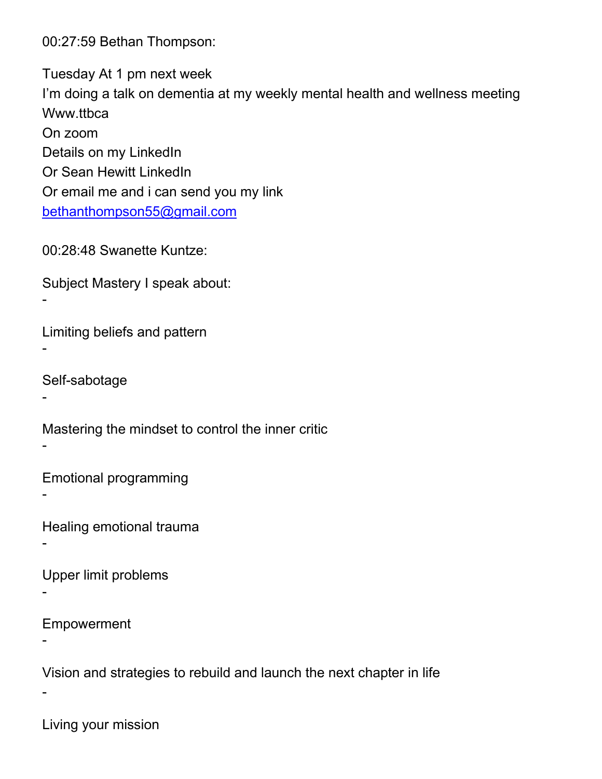00:27:59 Bethan Thompson:

Tuesday At 1 pm next week I'm doing a talk on dementia at my weekly mental health and wellness meeting Www.ttbca On zoom Details on my LinkedIn Or Sean Hewitt LinkedIn Or email me and i can send you my link [bethanthompson55@gmail.com](mailto:bethanthompson55@gmail.com)

00:28:48 Swanette Kuntze:

Subject Mastery I speak about:

Limiting beliefs and pattern

Self-sabotage

-

-

-

-

-

-

-

-

-

Mastering the mindset to control the inner critic

Emotional programming

Healing emotional trauma

Upper limit problems

Empowerment

Vision and strategies to rebuild and launch the next chapter in life

Living your mission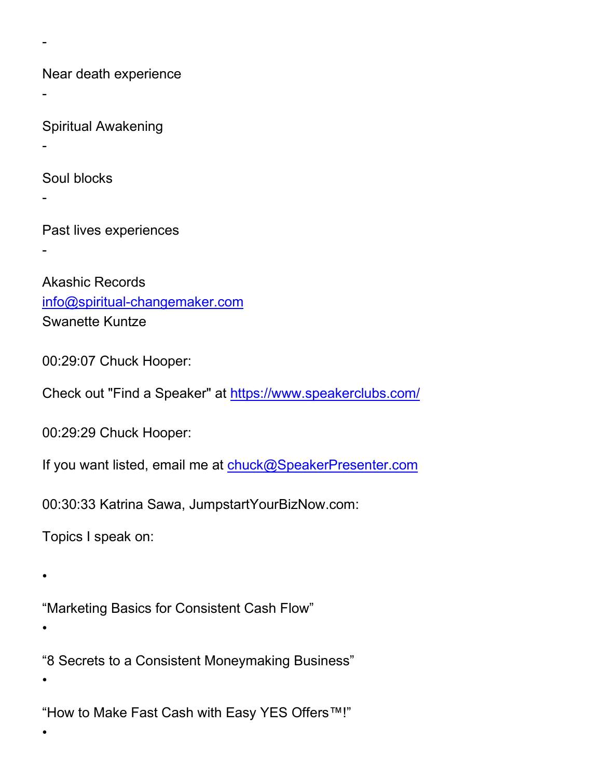Near death experience

Spiritual Awakening

-

-

-

Soul blocks

-

-

Past lives experiences

Akashic Records [info@spiritual-changemaker.com](mailto:info@spiritual-changemaker.com) Swanette Kuntze

00:29:07 Chuck Hooper:

Check out "Find a Speaker" at<https://www.speakerclubs.com/>

00:29:29 Chuck Hooper:

If you want listed, email me at [chuck@SpeakerPresenter.com](mailto:chuck@SpeakerPresenter.com)

00:30:33 Katrina Sawa, JumpstartYourBizNow.com:

Topics I speak on:

•

"Marketing Basics for Consistent Cash Flow"

•

"8 Secrets to a Consistent Moneymaking Business" •

"How to Make Fast Cash with Easy YES Offers™!"

•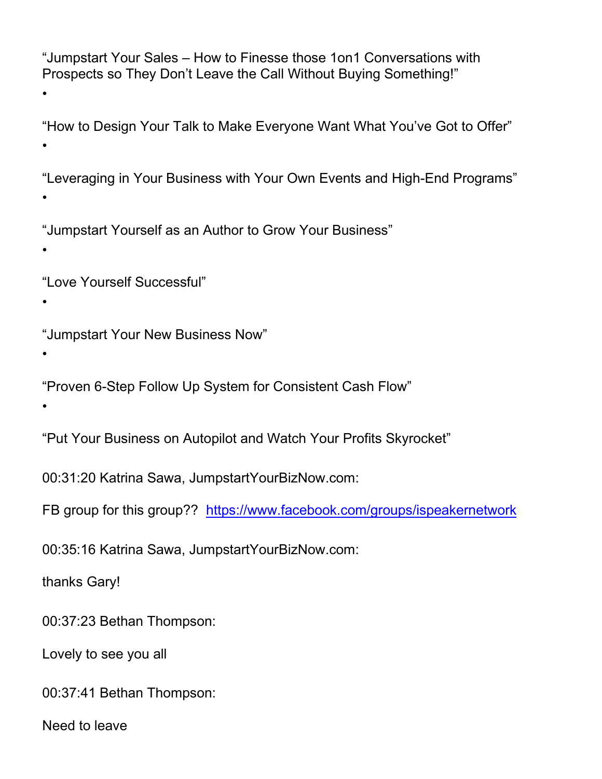"Jumpstart Your Sales – How to Finesse those 1on1 Conversations with Prospects so They Don't Leave the Call Without Buying Something!" •

"How to Design Your Talk to Make Everyone Want What You've Got to Offer" •

"Leveraging in Your Business with Your Own Events and High-End Programs" •

"Jumpstart Yourself as an Author to Grow Your Business"

"Love Yourself Successful"

"Jumpstart Your New Business Now"

•

•

•

"Proven 6-Step Follow Up System for Consistent Cash Flow"

•

"Put Your Business on Autopilot and Watch Your Profits Skyrocket"

00:31:20 Katrina Sawa, JumpstartYourBizNow.com:

FB group for this group?? <https://www.facebook.com/groups/ispeakernetwork>

00:35:16 Katrina Sawa, JumpstartYourBizNow.com:

thanks Gary!

00:37:23 Bethan Thompson:

Lovely to see you all

00:37:41 Bethan Thompson:

Need to leave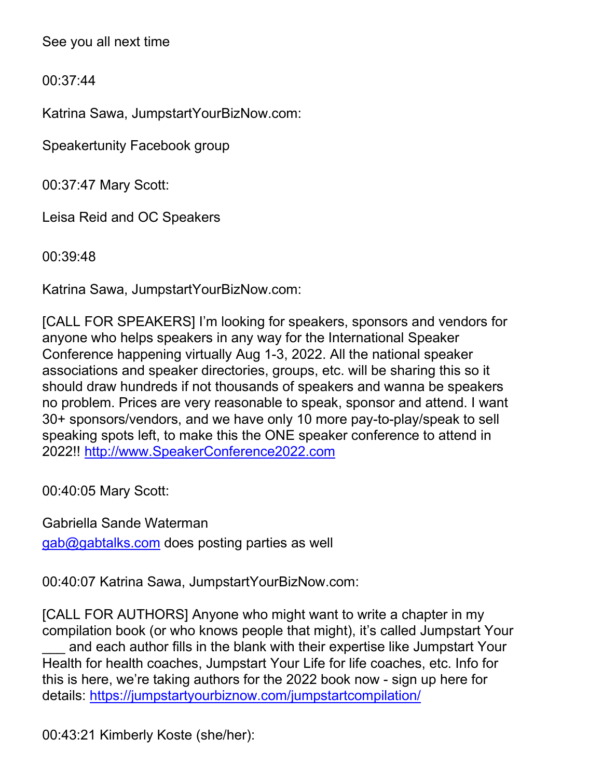See you all next time

00:37:44

Katrina Sawa, JumpstartYourBizNow.com:

Speakertunity Facebook group

00:37:47 Mary Scott:

Leisa Reid and OC Speakers

00:39:48

Katrina Sawa, JumpstartYourBizNow.com:

[CALL FOR SPEAKERS] I'm looking for speakers, sponsors and vendors for anyone who helps speakers in any way for the International Speaker Conference happening virtually Aug 1-3, 2022. All the national speaker associations and speaker directories, groups, etc. will be sharing this so it should draw hundreds if not thousands of speakers and wanna be speakers no problem. Prices are very reasonable to speak, sponsor and attend. I want 30+ sponsors/vendors, and we have only 10 more pay-to-play/speak to sell speaking spots left, to make this the ONE speaker conference to attend in 2022!! [http://www.SpeakerConference2022.com](http://www.speakerconference2022.com/)

00:40:05 Mary Scott:

Gabriella Sande Waterman [gab@gabtalks.com](mailto:gab@gabtalks.com) does posting parties as well

00:40:07 Katrina Sawa, JumpstartYourBizNow.com:

[CALL FOR AUTHORS] Anyone who might want to write a chapter in my compilation book (or who knows people that might), it's called Jumpstart Your and each author fills in the blank with their expertise like Jumpstart Your Health for health coaches, Jumpstart Your Life for life coaches, etc. Info for this is here, we're taking authors for the 2022 book now - sign up here for details:<https://jumpstartyourbiznow.com/jumpstartcompilation/>

00:43:21 Kimberly Koste (she/her):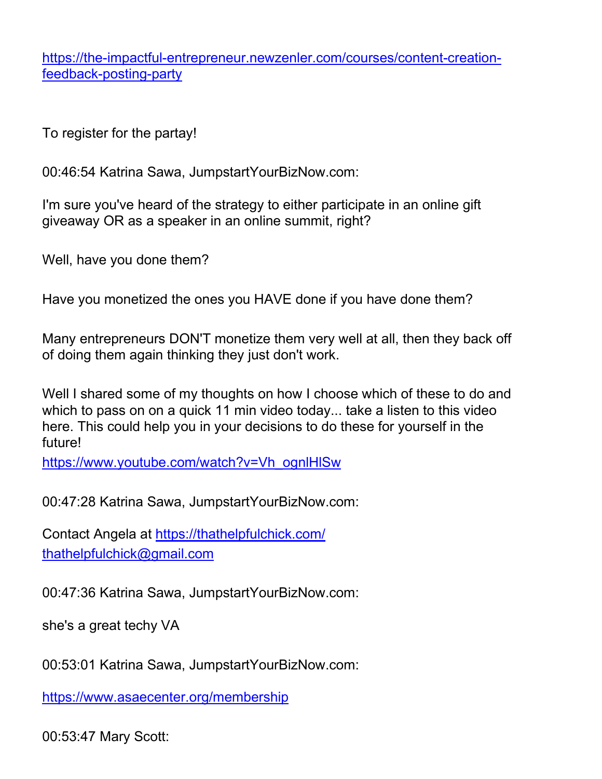[https://the-impactful-entrepreneur.newzenler.com/courses/content-creation](https://the-impactful-entrepreneur.newzenler.com/courses/content-creation-feedback-posting-party)[feedback-posting-party](https://the-impactful-entrepreneur.newzenler.com/courses/content-creation-feedback-posting-party)

To register for the partay!

00:46:54 Katrina Sawa, JumpstartYourBizNow.com:

I'm sure you've heard of the strategy to either participate in an online gift giveaway OR as a speaker in an online summit, right?

Well, have you done them?

Have you monetized the ones you HAVE done if you have done them?

Many entrepreneurs DON'T monetize them very well at all, then they back off of doing them again thinking they just don't work.

Well I shared some of my thoughts on how I choose which of these to do and which to pass on on a quick 11 min video today... take a listen to this video here. This could help you in your decisions to do these for yourself in the future!

[https://www.youtube.com/watch?v=Vh\\_ognlHlSw](https://www.youtube.com/watch?v=Vh_ognlHlSw)

00:47:28 Katrina Sawa, JumpstartYourBizNow.com:

Contact Angela at<https://thathelpfulchick.com/> [thathelpfulchick@gmail.com](mailto:thathelpfulchick@gmail.com)

00:47:36 Katrina Sawa, JumpstartYourBizNow.com:

she's a great techy VA

00:53:01 Katrina Sawa, JumpstartYourBizNow.com:

<https://www.asaecenter.org/membership>

00:53:47 Mary Scott: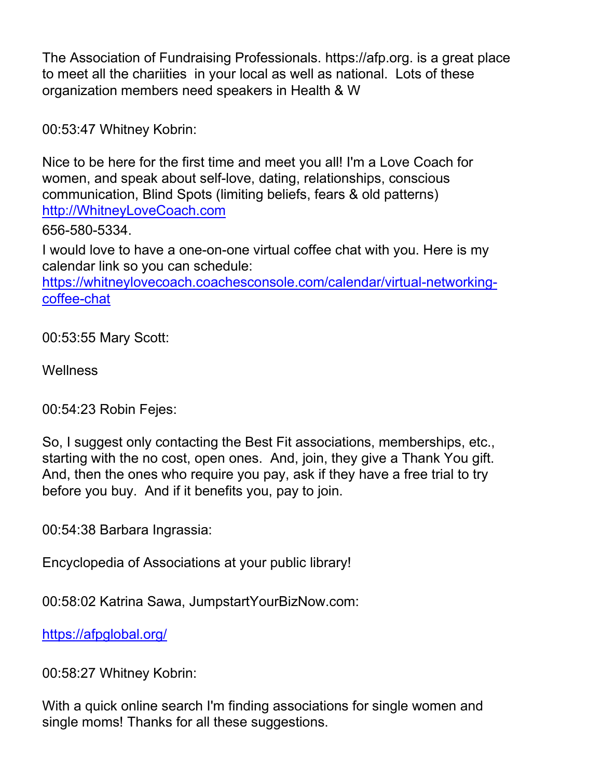The Association of Fundraising Professionals. https://afp.org. is a great place to meet all the chariities in your local as well as national. Lots of these organization members need speakers in Health & W

00:53:47 Whitney Kobrin:

Nice to be here for the first time and meet you all! I'm a Love Coach for women, and speak about self-love, dating, relationships, conscious communication, Blind Spots (limiting beliefs, fears & old patterns) [http://WhitneyLoveCoach.com](http://whitneylovecoach.com/)

656-580-5334.

I would love to have a one-on-one virtual coffee chat with you. Here is my calendar link so you can schedule:

[https://whitneylovecoach.coachesconsole.com/calendar/virtual-networking](https://whitneylovecoach.coachesconsole.com/calendar/virtual-networking-coffee-chat)[coffee-chat](https://whitneylovecoach.coachesconsole.com/calendar/virtual-networking-coffee-chat)

00:53:55 Mary Scott:

**Wellness** 

00:54:23 Robin Fejes:

So, I suggest only contacting the Best Fit associations, memberships, etc., starting with the no cost, open ones. And, join, they give a Thank You gift. And, then the ones who require you pay, ask if they have a free trial to try before you buy. And if it benefits you, pay to join.

00:54:38 Barbara Ingrassia:

Encyclopedia of Associations at your public library!

00:58:02 Katrina Sawa, JumpstartYourBizNow.com:

<https://afpglobal.org/>

00:58:27 Whitney Kobrin:

With a quick online search I'm finding associations for single women and single moms! Thanks for all these suggestions.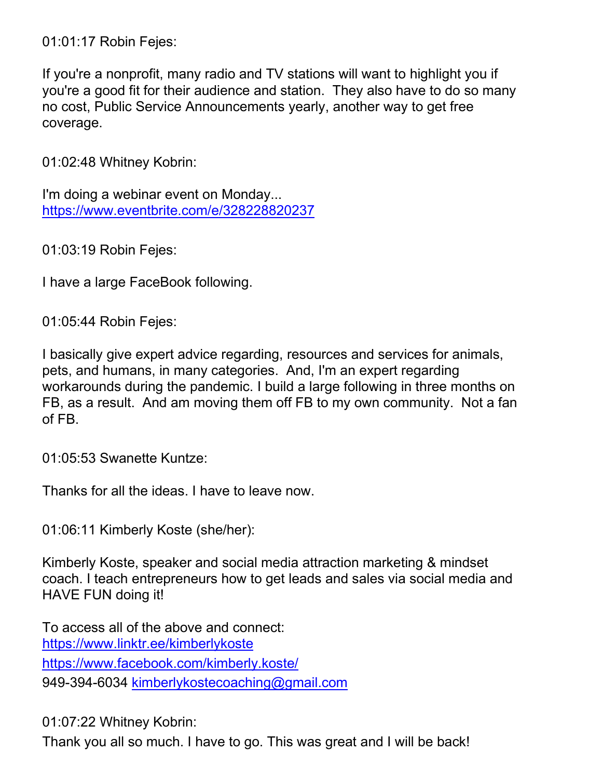01:01:17 Robin Fejes:

If you're a nonprofit, many radio and TV stations will want to highlight you if you're a good fit for their audience and station. They also have to do so many no cost, Public Service Announcements yearly, another way to get free coverage.

01:02:48 Whitney Kobrin:

I'm doing a webinar event on Monday... <https://www.eventbrite.com/e/328228820237>

01:03:19 Robin Fejes:

I have a large FaceBook following.

01:05:44 Robin Fejes:

I basically give expert advice regarding, resources and services for animals, pets, and humans, in many categories. And, I'm an expert regarding workarounds during the pandemic. I build a large following in three months on FB, as a result. And am moving them off FB to my own community. Not a fan of FB.

01:05:53 Swanette Kuntze:

Thanks for all the ideas. I have to leave now.

01:06:11 Kimberly Koste (she/her):

Kimberly Koste, speaker and social media attraction marketing & mindset coach. I teach entrepreneurs how to get leads and sales via social media and HAVE FUN doing it!

To access all of the above and connect: <https://www.linktr.ee/kimberlykoste> <https://www.facebook.com/kimberly.koste/> 949-394-6034 [kimberlykostecoaching@gmail.com](mailto:kimberlykostecoaching@gmail.com)

01:07:22 Whitney Kobrin: Thank you all so much. I have to go. This was great and I will be back!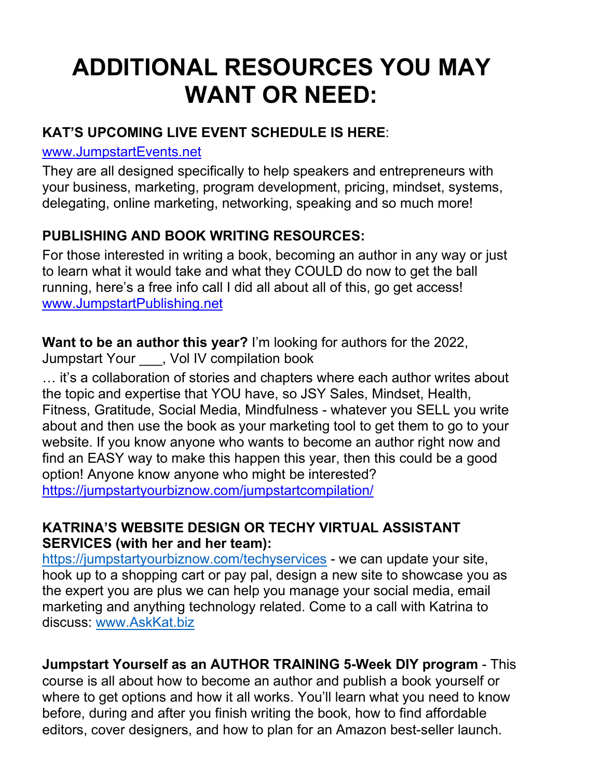# **ADDITIONAL RESOURCES YOU MAY WANT OR NEED:**

#### **KAT'S UPCOMING LIVE EVENT SCHEDULE IS HERE**:

#### [www.JumpstartEvents.net](http://www.jumpstartevents.net/)

They are all designed specifically to help speakers and entrepreneurs with your business, marketing, program development, pricing, mindset, systems, delegating, online marketing, networking, speaking and so much more!

#### **PUBLISHING AND BOOK WRITING RESOURCES:**

For those interested in writing a book, becoming an author in any way or just to learn what it would take and what they COULD do now to get the ball running, here's a free info call I did all about all of this, go get access! [www.JumpstartPublishing.net](http://www.jumpstartpublishing.net/) 

**Want to be an author this year?** I'm looking for authors for the 2022, Jumpstart Your \_\_\_, Vol IV compilation book

… it's a collaboration of stories and chapters where each author writes about the topic and expertise that YOU have, so JSY Sales, Mindset, Health, Fitness, Gratitude, Social Media, Mindfulness - whatever you SELL you write about and then use the book as your marketing tool to get them to go to your website. If you know anyone who wants to become an author right now and find an EASY way to make this happen this year, then this could be a good option! Anyone know anyone who might be interested? <https://jumpstartyourbiznow.com/jumpstartcompilation/>

#### **KATRINA'S WEBSITE DESIGN OR TECHY VIRTUAL ASSISTANT SERVICES (with her and her team):**

<https://jumpstartyourbiznow.com/techyservices> [-](http://www.jumpstartyourtechyservices.com/) we can update your site, hook up to a shopping cart or pay pal, design a new site to showcase you as the expert you are plus we can help you manage your social media, email marketing and anything technology related. Come to a call with Katrina to discuss: [www.AskKat.biz](http://www.askkat.biz/)

**Jumpstart Yourself as an AUTHOR TRAINING 5-Week DIY program** - This course is all about how to become an author and publish a book yourself or where to get options and how it all works. You'll learn what you need to know before, during and after you finish writing the book, how to find affordable editors, cover designers, and how to plan for an Amazon best-seller launch.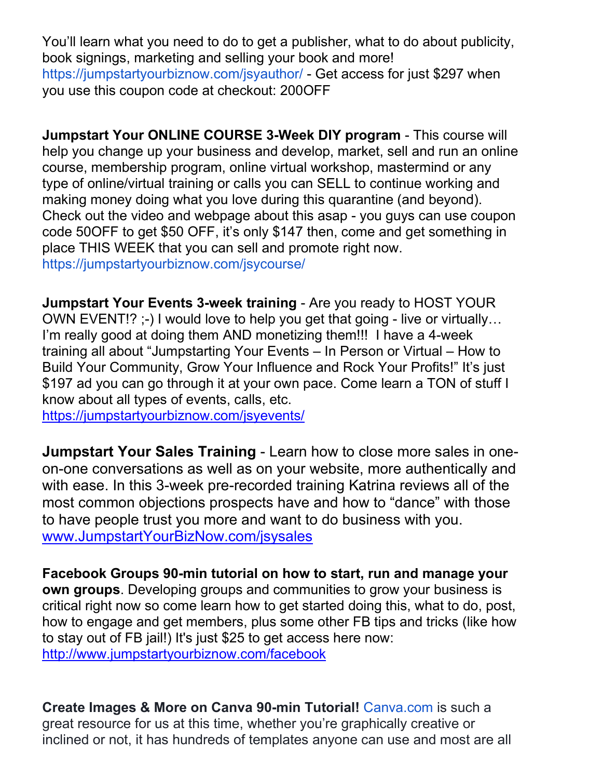You'll learn what you need to do to get a publisher, what to do about publicity, book signings, marketing and selling your book and more! [https://jumpstartyourbiznow.com/jsyauthor/ -](https://jumpstartyourbiznow.com/jsyauthor/) Get access for just \$297 when you use this coupon code at checkout: 200OFF

**Jumpstart Your ONLINE COURSE 3-Week DIY program** - This course will help you change up your business and develop, market, sell and run an online course, membership program, online virtual workshop, mastermind or any type of online/virtual training or calls you can SELL to continue working and making money doing what you love during this quarantine (and beyond). Check out the video and webpage about this asap - you guys can use coupon code 50OFF to get \$50 OFF, it's only \$147 then, come and get something in place THIS WEEK that you can sell and promote right now. <https://jumpstartyourbiznow.com/jsycourse/>

**Jumpstart Your Events 3-week training** - Are you ready to HOST YOUR OWN EVENT!? ;-) I would love to help you get that going - live or virtually… I'm really good at doing them AND monetizing them!!! I have a 4-week training all about "Jumpstarting Your Events – In Person or Virtual – How to Build Your Community, Grow Your Influence and Rock Your Profits!" It's just \$197 ad you can go through it at your own pace. Come learn a TON of stuff I know about all types of events, calls, etc.

<https://jumpstartyourbiznow.com/jsyevents/>

**Jumpstart Your Sales Training** - Learn how to close more sales in oneon-one conversations as well as on your website, more authentically and with ease. In this 3-week pre-recorded training Katrina reviews all of the most common objections prospects have and how to "dance" with those to have people trust you more and want to do business with you. [www.JumpstartYourBizNow.com/jsysales](http://www.jumpstartyourbiznow.com/jsysales) 

**Facebook Groups 90-min tutorial on how to start, run and manage your own groups**. Developing groups and communities to grow your business is critical right now so come learn how to get started doing this, what to do, post, how to engage and get members, plus some other FB tips and tricks (like how to stay out of FB jail!) It's just \$25 to get access here now: <http://www.jumpstartyourbiznow.com/facebook>

**Create Images & More on Canva 90-min Tutorial!** [Canva.com i](http://canva.com/)s such a great resource for us at this time, whether you're graphically creative or inclined or not, it has hundreds of templates anyone can use and most are all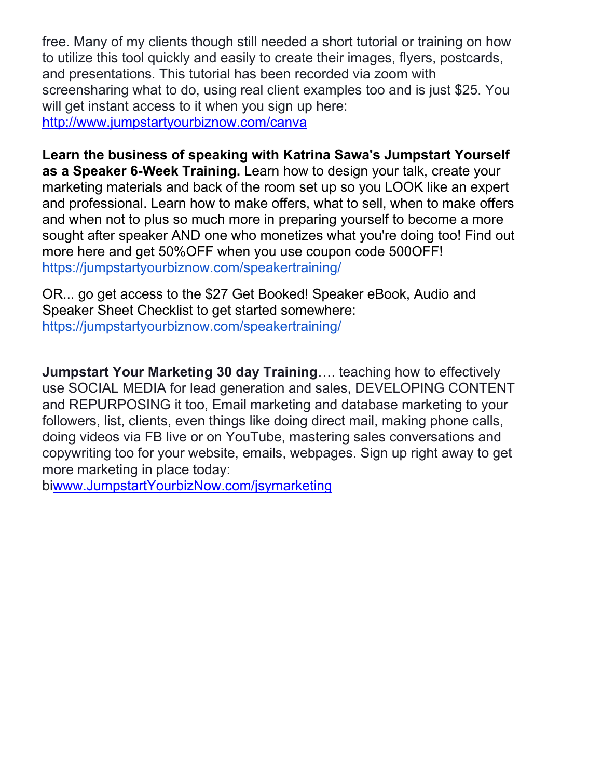free. Many of my clients though still needed a short tutorial or training on how to utilize this tool quickly and easily to create their images, flyers, postcards, and presentations. This tutorial has been recorded via zoom with screensharing what to do, using real client examples too and is just \$25. You will get instant access to it when you sign up here: <http://www.jumpstartyourbiznow.com/canva>

**Learn the business of speaking with Katrina Sawa's Jumpstart Yourself as a Speaker 6-Week Training.** Learn how to design your talk, create your marketing materials and back of the room set up so you LOOK like an expert and professional. Learn how to make offers, what to sell, when to make offers and when not to plus so much more in preparing yourself to become a more sought after speaker AND one who monetizes what you're doing too! Find out more here and get 50%OFF when you use coupon code 500OFF! [https://jumpstartyourbiznow.com/speakertraining/](https://jumpstartyourmarketing.com/speakertraining/)

OR... go get access to the \$27 Get Booked! Speaker eBook, Audio and Speaker Sheet Checklist to get started somewhere: <https://jumpstartyourbiznow.com/speakertraining/>

**Jumpstart Your Marketing 30 day Training**…. teaching how to effectively use SOCIAL MEDIA for lead generation and sales, DEVELOPING CONTENT and REPURPOSING it too, Email marketing and database marketing to your followers, list, clients, even things like doing direct mail, making phone calls, doing videos via FB live or on YouTube, mastering sales conversations and copywriting too for your website, emails, webpages. Sign up right away to get more marketing in place today:

b[iwww.JumpstartYourbizNow.com/jsymarketing](http://www.jumpstartyourbiznow.com/jsymarketing)